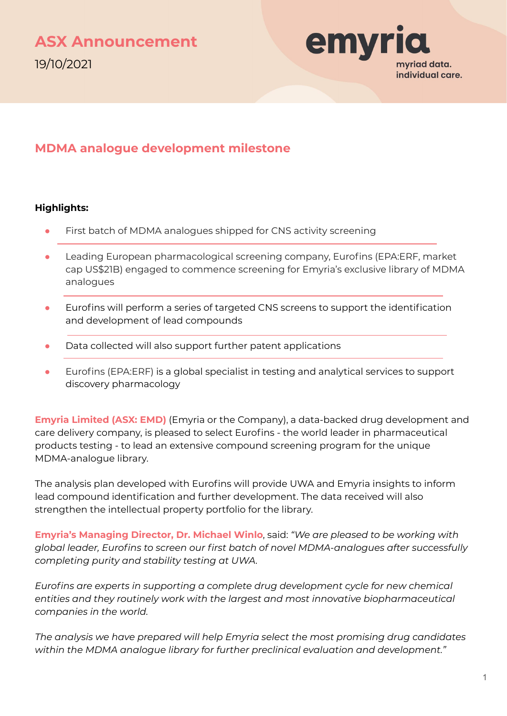

### **MDMA analogue development milestone**

#### **Highlights:**

- First batch of MDMA analogues shipped for CNS activity screening
- Leading European pharmacological screening company, Eurofins (EPA:ERF, market cap US\$21B) engaged to commence screening for Emyria's exclusive library of MDMA analogues
- Eurofins will perform a series of targeted CNS screens to support the identification and development of lead compounds
- Data collected will also support further patent applications
- Eurofins (EPA:ERF) is a global specialist in testing and analytical services to support discovery pharmacology

**Emyria Limited (ASX: EMD)** (Emyria or the Company), a data-backed drug development and care delivery company, is pleased to select Eurofins - the world leader in pharmaceutical products testing - to lead an extensive compound screening program for the unique MDMA-analogue library.

The analysis plan developed with Eurofins will provide UWA and Emyria insights to inform lead compound identification and further development. The data received will also strengthen the intellectual property portfolio for the library.

**Emyria's Managing Director, Dr. Michael Winlo**, said: *"We are pleased to be working with global leader, Eurofins to screen our first batch of novel MDMA-analogues after successfully completing purity and stability testing at UWA.* 

*Eurofins are experts in supporting a complete drug development cycle for new chemical entities and they routinely work with the largest and most innovative biopharmaceutical companies in the world.* 

*The analysis we have prepared will help Emyria select the most promising drug candidates within the MDMA analogue library for further preclinical evaluation and development."*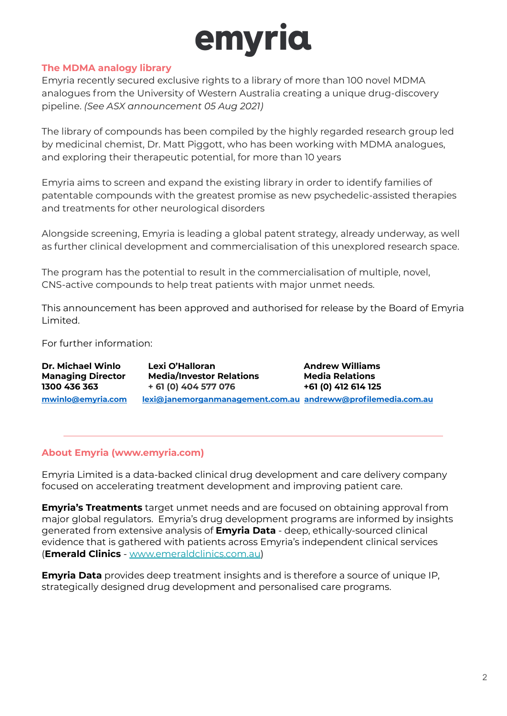# emyria

#### **The MDMA analogy library**

Emyria recently secured exclusive rights to a library of more than 100 novel MDMA analogues from the University of Western Australia creating a unique drug-discovery pipeline. *(See ASX announcement 05 Aug 2021)*

The library of compounds has been compiled by the highly regarded research group led by medicinal chemist, Dr. Matt Piggott, who has been working with MDMA analogues, and exploring their therapeutic potential, for more than 10 years

Emyria aims to screen and expand the existing library in order to identify families of patentable compounds with the greatest promise as new psychedelic-assisted therapies and treatments for other neurological disorders

Alongside screening, Emyria is leading a global patent strategy, already underway, as well as further clinical development and commercialisation of this unexplored research space.

The program has the potential to result in the commercialisation of multiple, novel, CNS-active compounds to help treat patients with major unmet needs.

This announcement has been approved and authorised for release by the Board of Emyria Limited.

For further information:

| Dr. Michael Winlo        | Lexi O'Halloran                                              | <b>Andrew Williams</b> |
|--------------------------|--------------------------------------------------------------|------------------------|
| <b>Managing Director</b> | <b>Media/Investor Relations</b>                              | <b>Media Relations</b> |
| 1300 436 363             | + 61 (0) 404 577 076                                         | +61 (0) 412 614 125    |
| mwinlo@emvria.com        | lexi@janemorganmanagement.com.au andreww@profilemedia.com.au |                        |

#### **About Emyria (www.emyria.com)**

Emyria Limited is a data-backed clinical drug development and care delivery company focused on accelerating treatment development and improving patient care.

**Emyria's Treatments** target unmet needs and are focused on obtaining approval from major global regulators. Emyria's drug development programs are informed by insights generated from extensive analysis of **Emyria Data** - deep, ethically-sourced clinical evidence that is gathered with patients across Emyria's independent clinical services (**Emerald Clinics** - [www.emeraldclinics.com.au](http://www.emeraldclinics.com.au/))

**Emyria Data** provides deep treatment insights and is therefore a source of unique IP, strategically designed drug development and personalised care programs.